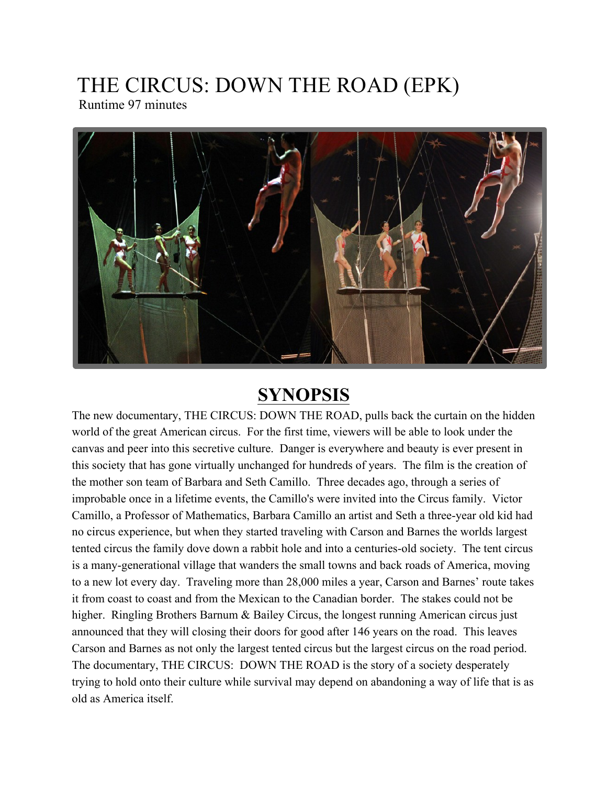# THE CIRCUS: DOWN THE ROAD (EPK)

Runtime 97 minutes



# **SYNOPSIS**

The new documentary, THE CIRCUS: DOWN THE ROAD, pulls back the curtain on the hidden world of the great American circus. For the first time, viewers will be able to look under the canvas and peer into this secretive culture. Danger is everywhere and beauty is ever present in this society that has gone virtually unchanged for hundreds of years. The film is the creation of the mother son team of Barbara and Seth Camillo. Three decades ago, through a series of improbable once in a lifetime events, the Camillo's were invited into the Circus family. Victor Camillo, a Professor of Mathematics, Barbara Camillo an artist and Seth a three-year old kid had no circus experience, but when they started traveling with Carson and Barnes the worlds largest tented circus the family dove down a rabbit hole and into a centuries-old society. The tent circus is a many-generational village that wanders the small towns and back roads of America, moving to a new lot every day. Traveling more than 28,000 miles a year, Carson and Barnes' route takes it from coast to coast and from the Mexican to the Canadian border. The stakes could not be higher. Ringling Brothers Barnum & Bailey Circus, the longest running American circus just announced that they will closing their doors for good after 146 years on the road. This leaves Carson and Barnes as not only the largest tented circus but the largest circus on the road period. The documentary, THE CIRCUS: DOWN THE ROAD is the story of a society desperately trying to hold onto their culture while survival may depend on abandoning a way of life that is as old as America itself.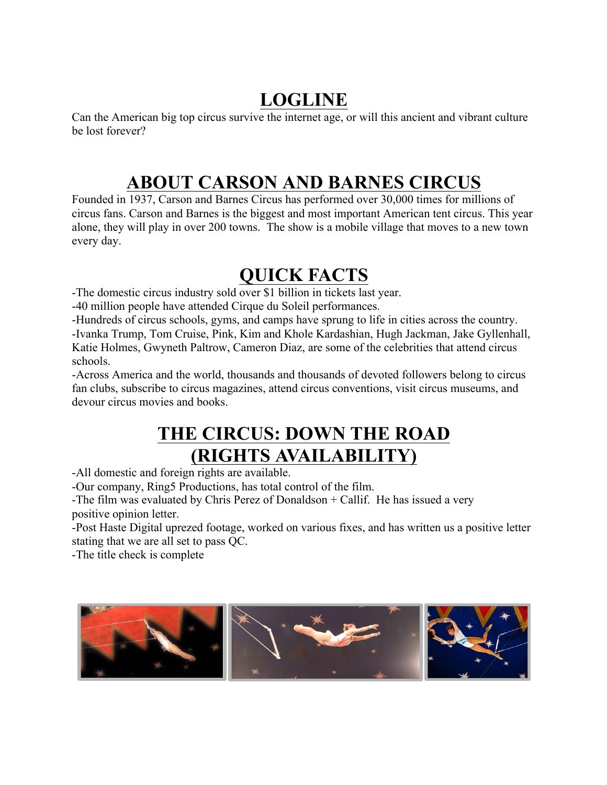#### **LOGLINE**

Can the American big top circus survive the internet age, or will this ancient and vibrant culture be lost forever?

### **ABOUT CARSON AND BARNES CIRCUS**

Founded in 1937, Carson and Barnes Circus has performed over 30,000 times for millions of circus fans. Carson and Barnes is the biggest and most important American tent circus. This year alone, they will play in over 200 towns. The show is a mobile village that moves to a new town every day.

# **QUICK FACTS**

-The domestic circus industry sold over \$1 billion in tickets last year.

-40 million people have attended Cirque du Soleil performances.

-Hundreds of circus schools, gyms, and camps have sprung to life in cities across the country. -Ivanka Trump, Tom Cruise, Pink, Kim and Khole Kardashian, Hugh Jackman, Jake Gyllenhall, Katie Holmes, Gwyneth Paltrow, Cameron Diaz, are some of the celebrities that attend circus schools.

-Across America and the world, thousands and thousands of devoted followers belong to circus fan clubs, subscribe to circus magazines, attend circus conventions, visit circus museums, and devour circus movies and books.

### **THE CIRCUS: DOWN THE ROAD (RIGHTS AVAILABILITY)**

-All domestic and foreign rights are available.

-Our company, Ring5 Productions, has total control of the film.

-The film was evaluated by Chris Perez of Donaldson + Callif. He has issued a very positive opinion letter.

-Post Haste Digital uprezed footage, worked on various fixes, and has written us a positive letter stating that we are all set to pass QC.

-The title check is complete